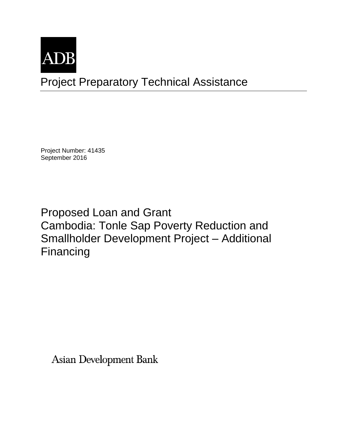

Project Preparatory Technical Assistance

Project Number: 41435 September 2016

Proposed Loan and Grant Cambodia: Tonle Sap Poverty Reduction and Smallholder Development Project – Additional Financing

**Asian Development Bank**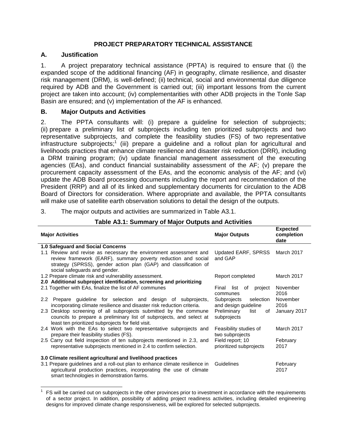## **PROJECT PREPARATORY TECHNICAL ASSISTANCE**

## **A. Justification**

1. A project preparatory technical assistance (PPTA) is required to ensure that (i) the expanded scope of the additional financing (AF) in geography, climate resilience, and disaster risk management (DRM), is well-defined; (ii) technical, social and environmental due diligence required by ADB and the Government is carried out; (iii) important lessons from the current project are taken into account; (iv) complementarities with other ADB projects in the Tonle Sap Basin are ensured; and (v) implementation of the AF is enhanced.

## **B. Major Outputs and Activities**

2. The PPTA consultants will: (i) prepare a guideline for selection of subprojects; (ii) prepare a preliminary list of subprojects including ten prioritized subprojects and two representative subprojects, and complete the feasibility studies (FS) of two representative infrastructure subprojects;<sup>1</sup> (iii) prepare a guideline and a rollout plan for agricultural and livelihoods practices that enhance climate resilience and disaster risk reduction (DRR), including a DRM training program; (iv) update financial management assessment of the executing agencies (EAs), and conduct financial sustainability assessment of the AF; (v) prepare the procurement capacity assessment of the EAs, and the economic analysis of the AF; and (vi) update the ADB Board processing documents including the report and recommendation of the President (RRP) and all of its linked and supplementary documents for circulation to the ADB Board of Directors for consideration. Where appropriate and available, the PPTA consultants will make use of satellite earth observation solutions to detail the design of the outputs.

3. The major outputs and activities are summarized in Table A3.1.

| <b>Major Activities</b>                                                                                                                                                                                                                 | <b>Major Outputs</b>                             | <b>Expected</b><br>completion<br>date |  |
|-----------------------------------------------------------------------------------------------------------------------------------------------------------------------------------------------------------------------------------------|--------------------------------------------------|---------------------------------------|--|
| <b>1.0 Safequard and Social Concerns</b>                                                                                                                                                                                                |                                                  |                                       |  |
| 1.1 Review and revise as necessary the environment assessment and<br>review framework (EARF), summary poverty reduction and social<br>strategy (SPRSS), gender action plan (GAP) and classification of<br>social safeguards and gender. | Updated EARF, SPRSS<br>and GAP                   | March 2017                            |  |
| 1.2 Prepare climate risk and vulnerability assessment.                                                                                                                                                                                  | Report completed                                 | March 2017                            |  |
| 2.0 Additional subproject identification, screening and prioritizing                                                                                                                                                                    |                                                  |                                       |  |
| 2.1 Together with EAs, finalize the list of AF communes                                                                                                                                                                                 | Final list<br>of<br>project<br>communes          | November<br>2016                      |  |
| 2.2 Prepare guideline for selection and design of subprojects,<br>incorporating climate resilience and disaster risk reduction criteria.                                                                                                | Subprojects<br>selection<br>and design guideline | November<br>2016                      |  |
| 2.3 Desktop screening of all subprojects submitted by the commune<br>councils to prepare a preliminary list of subprojects, and select at<br>least ten prioritized subprojects for field visit.                                         | Preliminary<br>list<br>of<br>subprojects         | January 2017                          |  |
| 2.4 Work with the EAs to select two representative subprojects and<br>prepare their feasibility studies (FS).                                                                                                                           | Feasibility studies of<br>two subprojects        | March 2017                            |  |
| 2.5 Carry out field inspection of ten subprojects mentioned in 2.3, and<br>representative subprojects mentioned in 2.4 to confirm selection.                                                                                            | Field report; 10<br>prioritized subprojects      | February<br>2017                      |  |
| 3.0 Climate resilient agricultural and livelihood practices                                                                                                                                                                             |                                                  |                                       |  |
| 3.1 Prepare guidelines and a roll-out plan to enhance climate resilience in<br>agricultural production practices, incorporating the use of climate<br>smart technologies in demonstration farms.                                        | Guidelines                                       | February<br>2017                      |  |

# **Table A3.1: Summary of Major Outputs and Activities**

 1 FS will be carried out on subprojects in the other provinces prior to investment in accordance with the requirements of a sector project. In addition, possibility of adding project readiness activities, including detailed engineering designs for improved climate change responsiveness, will be explored for selected subprojects.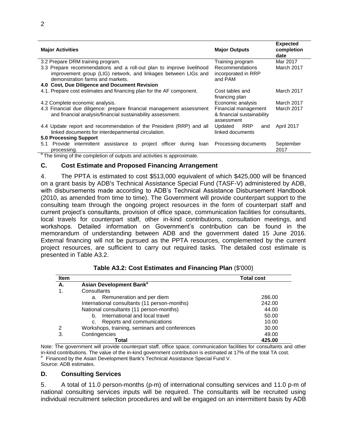| <b>Major Activities</b>                                                                                                             | <b>Major Outputs</b>                                             | <b>Expected</b><br>completion<br>date |
|-------------------------------------------------------------------------------------------------------------------------------------|------------------------------------------------------------------|---------------------------------------|
| 3.2 Prepare DRM training program.                                                                                                   | Training program                                                 | Mar 2017                              |
| 3.3 Prepare recommendations and a roll-out plan to improve livelihood                                                               | <b>Recommendations</b>                                           | March 2017                            |
| improvement group (LIG) network, and linkages between LIGs and                                                                      | incorporated in RRP                                              |                                       |
| demonstration farms and markets.                                                                                                    | and PAM                                                          |                                       |
| 4.0 Cost, Due Diligence and Document Revision                                                                                       |                                                                  |                                       |
| 4.1. Prepare cost estimates and financing plan for the AF component.                                                                | Cost tables and<br>financing plan                                | March 2017                            |
| 4.2 Complete economic analysis.                                                                                                     | Economic analysis                                                | March 2017                            |
| 4.3 Financial due diligence: prepare financial management assessment<br>and financial analysis/financial sustainability assessment. | Financial management<br>& financial sustainability<br>assessment | March 2017                            |
| 4.4 Update report and recommendation of the President (RRP) and all<br>linked documents for interdepartmental circulation.          | Updated<br>RRP<br>and<br>linked documents                        | April 2017                            |
| <b>5.0 Processing Support</b>                                                                                                       |                                                                  |                                       |
| 5.1 Provide intermittent assistance to project officer during loan Processing documents<br>processing.                              |                                                                  | September<br>2017                     |
| <sup>a</sup> The timing of the completion of outputs and activities is approximate.                                                 |                                                                  |                                       |

### **C. Cost Estimate and Proposed Financing Arrangement**

4. The PPTA is estimated to cost \$513,000 equivalent of which \$425,000 will be financed on a grant basis by ADB's Technical Assistance Special Fund (TASF-V) administered by ADB, with disbursements made according to ADB's Technical Assistance Disbursement Handbook (2010, as amended from time to time). The Government will provide counterpart support to the consulting team through the ongoing project resources in the form of counterpart staff and current project's consultants, provision of office space, communication facilities for consultants, local travels for counterpart staff, other in-kind contributions, consultation meetings, and workshops. Detailed information on Government's contribution can be found in the memorandum of understanding between ADB and the government dated 15 June 2016. External financing will not be pursued as the PPTA resources, complemented by the current project resources, are sufficient to carry out required tasks. The detailed cost estimate is presented in Table A3.2.

| <b>Item</b> |                                               | <b>Total cost</b> |
|-------------|-----------------------------------------------|-------------------|
| А.          | Asian Development Bank <sup>a</sup>           |                   |
|             | Consultants                                   |                   |
|             | a. Remuneration and per diem                  | 286.00            |
|             | International consultants (11 person-months)  | 242.00            |
|             | National consultants (11 person-months)       | 44.00             |
|             | International and local travel<br>b.          | 50.00             |
|             | Reports and communications<br>C.              | 10.00             |
| 2           | Workshops, training, seminars and conferences | 30.00             |
| 3.          | Contingencies                                 | 49.00             |
|             | Total                                         | 425.00            |

| Table A3.2: Cost Estimates and Financing Plan (\$'000) |  |
|--------------------------------------------------------|--|
|--------------------------------------------------------|--|

Note: The government will provide counterpart staff, office space, communication facilities for consultants and other in-kind contributions. The value of the in-kind government contribution is estimated at 17% of the total TA cost. <sup>a</sup> Financed by the Asian Development Bank's Technical Assistance Special Fund V. Source: ADB estimates.

#### **D. Consulting Services**

5. A total of 11.0 person-months (p-m) of international consulting services and 11.0 p-m of national consulting services inputs will be required. The consultants will be recruited using individual recruitment selection procedures and will be engaged on an intermittent basis by ADB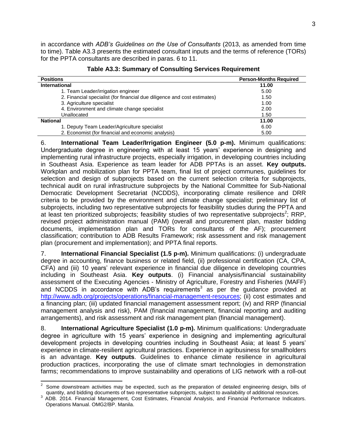in accordance with *ADB's Guidelines on the Use of Consultants* (2013, as amended from time to time). Table A3.3 presents the estimated consultant inputs and the terms of reference (TORs) for the PPTA consultants are described in paras. 6 to 11.

| <b>Positions</b>                                                         | <b>Person-Months Required</b> |
|--------------------------------------------------------------------------|-------------------------------|
| International                                                            | 11.00                         |
| 1. Team Leader/irrigation engineer                                       | 5.00                          |
| 2. Financial specialist (for financial due diligence and cost estimates) | 1.50                          |
| 3. Agriculture specialist                                                | 1.00                          |
| 4. Environment and climate change specialist                             | 2.00                          |
| Unallocated                                                              | 1.50                          |
| <b>National</b>                                                          | 11.00                         |
| 1. Deputy Team Leader/Agriculture specialist                             | 6.00                          |
| 2. Economist (for financial and economic analysis)                       | 5.00                          |

|  | Table A3.3: Summary of Consulting Services Requirement |  |  |  |
|--|--------------------------------------------------------|--|--|--|
|--|--------------------------------------------------------|--|--|--|

6. **International Team Leader/Irrigation Engineer (5.0 p-m).** Minimum qualifications: Undergraduate degree in engineering with at least 15 years' experience in designing and implementing rural infrastructure projects, especially irrigation, in developing countries including in Southeast Asia. Experience as team leader for ADB PPTAs is an asset. **Key outputs.**  Workplan and mobilization plan for PPTA team, final list of project communes, guidelines for selection and design of subprojects based on the current selection criteria for subprojects, technical audit on rural infrastructure subprojects by the National Committee for Sub-National Democratic Development Secretariat (NCDDS), incorporating climate resilience and DRR criteria to be provided by the environment and climate change specialist; preliminary list of subprojects, including two representative subprojects for feasibility studies during the PPTA and at least ten prioritized subprojects; feasibility studies of two representative subprojects<sup>2</sup>; RRP, revised project administration manual (PAM) (overall and procurement plan, master bidding documents, implementation plan and TORs for consultants of the AF); procurement classification; contribution to ADB Results Framework; risk assessment and risk management plan (procurement and implementation); and PPTA final reports.

7. **International Financial Specialist (1.5 p-m).** Minimum qualifications: (i) undergraduate degree in accounting, finance business or related field, (ii) professional certification (CA, CPA, CFA) and (iii) 10 years' relevant experience in financial due diligence in developing countries including in Southeast Asia. **Key outputs**. (i) Financial analysis/financial sustainability assessment of the Executing Agencies - Ministry of Agriculture, Forestry and Fisheries (MAFF) and NCDDS in accordance with ADB's requirements<sup>3</sup> as per the guidance provided at [http://www.adb.org/projects/operations/financial-management-resources;](http://www.adb.org/projects/operations/financial-management-resources) (ii) cost estimates and a financing plan; (iii) updated financial management assessment report; (iv) and RRP (financial management analysis and risk), PAM (financial management, financial reporting and auditing arrangements), and risk assessment and risk management plan (financial management).

8. **International Agriculture Specialist (1.0 p-m).** Minimum qualifications: Undergraduate degree in agriculture with 15 years' experience in designing and implementing agricultural development projects in developing countries including in Southeast Asia; at least 5 years' experience in climate-resilient agricultural practices. Experience in agribusiness for smallholders is an advantage. **Key outputs**. Guidelines to enhance climate resilience in agricultural production practices, incorporating the use of climate smart technologies in demonstration farms; recommendations to improve sustainability and operations of LIG network with a roll-out

**EXECTS 2000**<br><sup>2</sup> Some downstream activities may be expected, such as the preparation of detailed engineering design, bills of quantity, and bidding documents of two representative subprojects, subject to availability of additional resources.

<sup>&</sup>lt;sup>3</sup> ADB. 2014. Financial Management, Cost Estimates, Financial Analysis, and Financial Performance Indicators. Operations Manual. OMG2/BP. Manila.